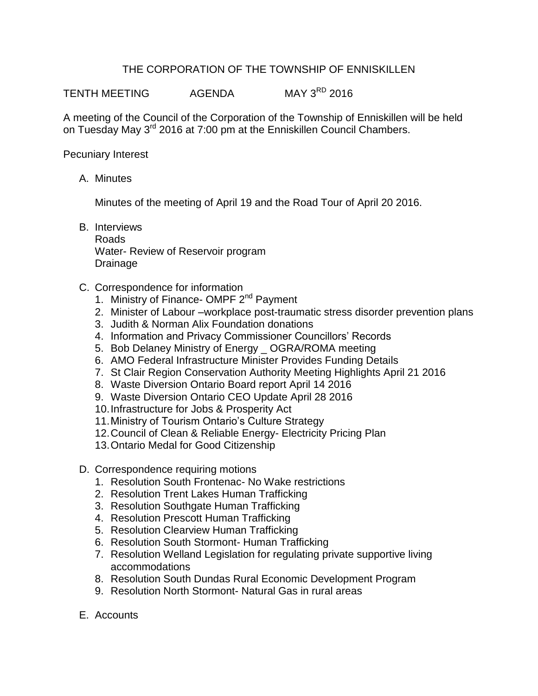## THE CORPORATION OF THE TOWNSHIP OF ENNISKILLEN

TENTH MEETING AGENDA MAY 3<sup>RD</sup> 2016

A meeting of the Council of the Corporation of the Township of Enniskillen will be held on Tuesday May 3<sup>rd</sup> 2016 at 7:00 pm at the Enniskillen Council Chambers.

Pecuniary Interest

A. Minutes

Minutes of the meeting of April 19 and the Road Tour of April 20 2016.

B. Interviews

Roads Water- Review of Reservoir program Drainage

- C. Correspondence for information
	- 1. Ministry of Finance- OMPF 2<sup>nd</sup> Payment
	- 2. Minister of Labour –workplace post-traumatic stress disorder prevention plans
	- 3. Judith & Norman Alix Foundation donations
	- 4. Information and Privacy Commissioner Councillors' Records
	- 5. Bob Delaney Ministry of Energy \_ OGRA/ROMA meeting
	- 6. AMO Federal Infrastructure Minister Provides Funding Details
	- 7. St Clair Region Conservation Authority Meeting Highlights April 21 2016
	- 8. Waste Diversion Ontario Board report April 14 2016
	- 9. Waste Diversion Ontario CEO Update April 28 2016
	- 10.Infrastructure for Jobs & Prosperity Act
	- 11.Ministry of Tourism Ontario's Culture Strategy
	- 12.Council of Clean & Reliable Energy- Electricity Pricing Plan
	- 13.Ontario Medal for Good Citizenship
- D. Correspondence requiring motions
	- 1. Resolution South Frontenac- No Wake restrictions
	- 2. Resolution Trent Lakes Human Trafficking
	- 3. Resolution Southgate Human Trafficking
	- 4. Resolution Prescott Human Trafficking
	- 5. Resolution Clearview Human Trafficking
	- 6. Resolution South Stormont- Human Trafficking
	- 7. Resolution Welland Legislation for regulating private supportive living accommodations
	- 8. Resolution South Dundas Rural Economic Development Program
	- 9. Resolution North Stormont- Natural Gas in rural areas
- E. Accounts